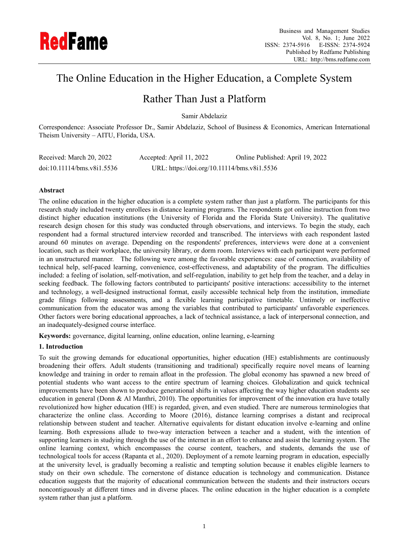

# The Online Education in the Higher Education, a Complete System

# Rather Than Just a Platform

Samir Abdelaziz

Correspondence: Associate Professor Dr., Samir Abdelaziz, School of Business & Economics, American International Theism University – AITU, Florida, USA.

| Received: March 20, 2022   | Accepted: April 11, 2022                    | Online Published: April 19, 2022 |
|----------------------------|---------------------------------------------|----------------------------------|
| doi:10.11114/bms.v8i1.5536 | URL: https://doi.org/10.11114/bms.v8i1.5536 |                                  |

# **Abstract**

The online education in the higher education is a complete system rather than just a platform. The participants for this research study included twenty enrollees in distance learning programs. The respondents got online instruction from two distinct higher education institutions (the University of Florida and the Florida State University). The qualitative research design chosen for this study was conducted through observations, and interviews. To begin the study, each respondent had a formal structured interview recorded and transcribed. The interviews with each respondent lasted around 60 minutes on average. Depending on the respondents' preferences, interviews were done at a convenient location, such as their workplace, the university library, or dorm room. Interviews with each participant were performed in an unstructured manner. The following were among the favorable experiences: ease of connection, availability of technical help, self-paced learning, convenience, cost-effectiveness, and adaptability of the program. The difficulties included: a feeling of isolation, self-motivation, and self-regulation, inability to get help from the teacher, and a delay in seeking feedback. The following factors contributed to participants' positive interactions: accessibility to the internet and technology, a well-designed instructional format, easily accessible technical help from the institution, immediate grade filings following assessments, and a flexible learning participative timetable. Untimely or ineffective communication from the educator was among the variables that contributed to participants' unfavorable experiences. Other factors were boring educational approaches, a lack of technical assistance, a lack of interpersonal connection, and an inadequately-designed course interface.

**Keywords:** governance, digital learning, online education, online learning, e-learning

# **1. Introduction**

To suit the growing demands for educational opportunities, higher education (HE) establishments are continuously broadening their offers. Adult students (transitioning and traditional) specifically require novel means of learning knowledge and training in order to remain afloat in the profession. The global economy has spawned a new breed of potential students who want access to the entire spectrum of learning choices. Globalization and quick technical improvements have been shown to produce generational shifts in values affecting the way higher education students see education in general (Donn & Al Manthri, 2010). The opportunities for improvement of the innovation era have totally revolutionized how higher education (HE) is regarded, given, and even studied. There are numerous terminologies that characterize the online class. According to Moore (2016), distance learning comprises a distant and reciprocal relationship between student and teacher. Alternative equivalents for distant education involve e-learning and online learning. Both expressions allude to two-way interaction between a teacher and a student, with the intention of supporting learners in studying through the use of the internet in an effort to enhance and assist the learning system. The online learning context, which encompasses the course content, teachers, and students, demands the use of technological tools for access (Rapanta et al., 2020). Deployment of a remote learning program in education, especially at the university level, is gradually becoming a realistic and tempting solution because it enables eligible learners to study on their own schedule. The cornerstone of distance education is technology and communication. Distance education suggests that the majority of educational communication between the students and their instructors occurs noncontiguously at different times and in diverse places. The online education in the higher education is a complete system rather than just a platform.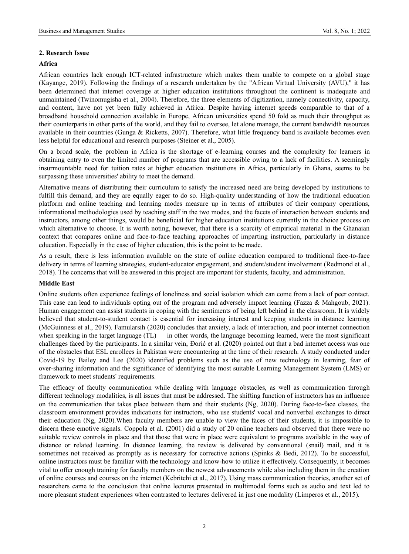# **2. Research Issue**

#### **Africa**

African countries lack enough ICT-related infrastructure which makes them unable to compete on a global stage (Kayange, 2019). Following the findings of a research undertaken by the "African Virtual University (AVU)," it has been determined that internet coverage at higher education institutions throughout the continent is inadequate and unmaintained (Twinomugisha et al., 2004). Therefore, the three elements of digitization, namely connectivity, capacity, and content, have not yet been fully achieved in Africa. Despite having internet speeds comparable to that of a broadband household connection available in Europe, African universities spend 50 fold as much their throughput as their counterparts in other parts of the world, and they fail to oversee, let alone manage, the current bandwidth resources available in their countries (Gunga & Ricketts, 2007). Therefore, what little frequency band is available becomes even less helpful for educational and research purposes (Steiner et al., 2005).

On a broad scale, the problem in Africa is the shortage of e-learning courses and the complexity for learners in obtaining entry to even the limited number of programs that are accessible owing to a lack of facilities. A seemingly insurmountable need for tuition rates at higher education institutions in Africa, particularly in Ghana, seems to be surpassing these universities' ability to meet the demand.

Alternative means of distributing their curriculum to satisfy the increased need are being developed by institutions to fulfill this demand, and they are equally eager to do so. High-quality understanding of how the traditional education platform and online teaching and learning modes measure up in terms of attributes of their company operations, informational methodologies used by teaching staff in the two modes, and the facets of interaction between students and instructors, among other things, would be beneficial for higher education institutions currently in the choice process on which alternative to choose. It is worth noting, however, that there is a scarcity of empirical material in the Ghanaian context that compares online and face-to-face teaching approaches of imparting instruction, particularly in distance education. Especially in the case of higher education, this is the point to be made.

As a result, there is less information available on the state of online education compared to traditional face-to-face delivery in terms of learning strategies, student-educator engagement, and student/student involvement (Redmond et al., 2018). The concerns that will be answered in this project are important for students, faculty, and administration.

#### **Middle East**

Online students often experience feelings of loneliness and social isolation which can come from a lack of peer contact. This case can lead to individuals opting out of the program and adversely impact learning (Fazza & Mahgoub, 2021). Human engagement can assist students in coping with the sentiments of being left behind in the classroom. It is widely believed that student-to-student contact is essential for increasing interest and keeping students in distance learning (McGuinness et al., 2019). Famularsih (2020) concludes that anxiety, a lack of interaction, and poor internet connection when speaking in the target language  $(TL)$  — in other words, the language becoming learned, were the most significant challenges faced by the participants. In a similar vein, Đorić et al. (2020) pointed out that a bad internet access was one of the obstacles that ESL enrollees in Pakistan were encountering at the time of their research. A study conducted under Covid-19 by Bailey and Lee (2020) identified problems such as the use of new technology in learning, fear of over-sharing information and the significance of identifying the most suitable Learning Management System (LMS) or framework to meet students' requirements.

The efficacy of faculty communication while dealing with language obstacles, as well as communication through different technology modalities, is all issues that must be addressed. The shifting function of instructors has an influence on the communication that takes place between them and their students (Ng, 2020). During face-to-face classes, the classroom environment provides indications for instructors, who use students' vocal and nonverbal exchanges to direct their education (Ng, 2020).When faculty members are unable to view the faces of their students, it is impossible to discern these emotive signals. Coppola et al. (2001) did a study of 20 online teachers and observed that there were no suitable review controls in place and that those that were in place were equivalent to programs available in the way of distance or related learning. In distance learning, the review is delivered by conventional (snail) mail, and it is sometimes not received as promptly as is necessary for corrective actions (Spinks & Bedi, 2012). To be successful, online instructors must be familiar with the technology and know-how to utilize it effectively. Consequently, it becomes vital to offer enough training for faculty members on the newest advancements while also including them in the creation of online courses and courses on the internet (Kebritchi et al., 2017). Using mass communication theories, another set of researchers came to the conclusion that online lectures presented in multimodal forms such as audio and text led to more pleasant student experiences when contrasted to lectures delivered in just one modality (Limperos et al., 2015).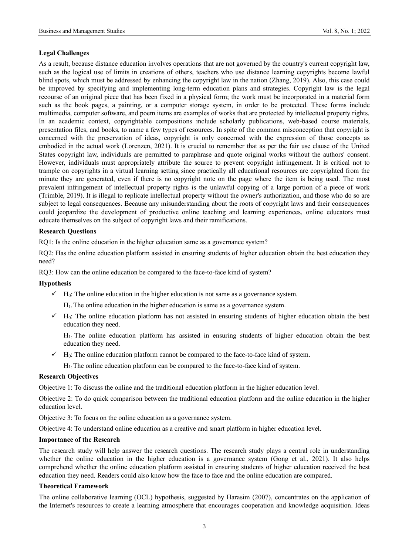# **Legal Challenges**

As a result, because distance education involves operations that are not governed by the country's current copyright law, such as the logical use of limits in creations of others, teachers who use distance learning copyrights become lawful blind spots, which must be addressed by enhancing the copyright law in the nation (Zhang, 2019). Also, this case could be improved by specifying and implementing long-term education plans and strategies. Copyright law is the legal recourse of an original piece that has been fixed in a physical form; the work must be incorporated in a material form such as the book pages, a painting, or a computer storage system, in order to be protected. These forms include multimedia, computer software, and poem items are examples of works that are protected by intellectual property rights. In an academic context, copyrightable compositions include scholarly publications, web-based course materials, presentation files, and books, to name a few types of resources. In spite of the common misconception that copyright is concerned with the preservation of ideas, copyright is only concerned with the expression of those concepts as embodied in the actual work (Lorenzen, 2021). It is crucial to remember that as per the fair use clause of the United States copyright law, individuals are permitted to paraphrase and quote original works without the authors' consent. However, individuals must appropriately attribute the source to prevent copyright infringement. It is critical not to trample on copyrights in a virtual learning setting since practically all educational resources are copyrighted from the minute they are generated, even if there is no copyright note on the page where the item is being used. The most prevalent infringement of intellectual property rights is the unlawful copying of a large portion of a piece of work (Trimble, 2019). It is illegal to replicate intellectual property without the owner's authorization, and those who do so are subject to legal consequences. Because any misunderstanding about the roots of copyright laws and their consequences could jeopardize the development of productive online teaching and learning experiences, online educators must educate themselves on the subject of copyright laws and their ramifications.

#### **Research Questions**

RQ1: Is the online education in the higher education same as a governance system?

RQ2: Has the online education platform assisted in ensuring students of higher education obtain the best education they need?

RQ3: How can the online education be compared to the face-to-face kind of system?

#### **Hypothesis**

 $\checkmark$  H<sub>0</sub>: The online education in the higher education is not same as a governance system.

 $H<sub>1</sub>$ : The online education in the higher education is same as a governance system.

 $\checkmark$  H<sub>0</sub>: The online education platform has not assisted in ensuring students of higher education obtain the best education they need.

H1: The online education platform has assisted in ensuring students of higher education obtain the best education they need.

 $\checkmark$  H<sub>0</sub>: The online education platform cannot be compared to the face-to-face kind of system.

H1: The online education platform can be compared to the face-to-face kind of system.

# **Research Objectives**

Objective 1: To discuss the online and the traditional education platform in the higher education level.

Objective 2: To do quick comparison between the traditional education platform and the online education in the higher education level.

Objective 3: To focus on the online education as a governance system.

Objective 4: To understand online education as a creative and smart platform in higher education level.

### **Importance of the Research**

The research study will help answer the research questions. The research study plays a central role in understanding whether the online education in the higher education is a governance system (Gong et al., 2021). It also helps comprehend whether the online education platform assisted in ensuring students of higher education received the best education they need. Readers could also know how the face to face and the online education are compared.

### **Theoretical Framework**

The online collaborative learning (OCL) hypothesis, suggested by Harasim (2007), concentrates on the application of the Internet's resources to create a learning atmosphere that encourages cooperation and knowledge acquisition. Ideas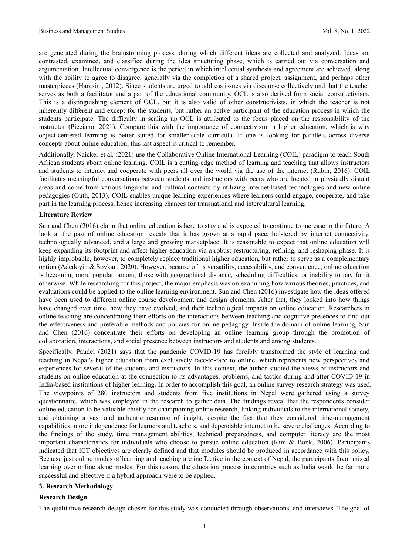are generated during the brainstorming process, during which different ideas are collected and analyzed. Ideas are contrasted, examined, and classified during the idea structuring phase, which is carried out via conversation and argumentation. Intellectual convergence is the period in which intellectual synthesis and agreement are achieved, along with the ability to agree to disagree, generally via the completion of a shared project, assignment, and perhaps other masterpieces (Harasim, 2012). Since students are urged to address issues via discourse collectively and that the teacher serves as both a facilitator and a part of the educational community, OCL is also derived from social constructivism. This is a distinguishing element of OCL, but it is also valid of other constructivists, in which the teacher is not inherently different and except for the students, but rather an active participant of the education process in which the students participate. The difficulty in scaling up OCL is attributed to the focus placed on the responsibility of the instructor (Picciano, 2021). Compare this with the importance of connectivism in higher education, which is why object-centered learning is better suited for smaller-scale curricula. If one is looking for parallels across diverse concepts about online education, this last aspect is critical to remember.

Additionally, Naicker et al. (2021) use the Collaborative Online International Learning (COIL) paradigm to teach South African students about online learning. COIL is a cutting-edge method of learning and teaching that allows instructors and students to interact and cooperate with peers all over the world via the use of the internet (Rubin, 2016). COIL facilitates meaningful conversations between students and instructors with peers who are located in physically distant areas and come from various linguistic and cultural contexts by utilizing internet-based technologies and new online pedagogies (Guth, 2013). COIL enables unique learning experiences where learners could engage, cooperate, and take part in the learning process, hence increasing chances for transnational and intercultural learning.

#### **Literature Review**

Sun and Chen (2016) claim that online education is here to stay and is expected to continue to increase in the future. A look at the past of online education reveals that it has grown at a rapid pace, bolstered by internet connectivity, technologically advanced, and a large and growing marketplace. It is reasonable to expect that online education will keep expanding its footprint and affect higher education via a robust restructuring, refining, and reshaping phase. It is highly improbable, however, to completely replace traditional higher education, but rather to serve as a complementary option (Adedoyin & Soykan, 2020). However, because of its versatility, accessibility, and convenience, online education is becoming more popular, among those with geographical distance, scheduling difficulties, or inability to pay for it otherwise. While researching for this project, the major emphasis was on examining how various theories, practices, and evaluations could be applied to the online learning environment. Sun and Chen (2016) investigate how the ideas offered have been used to different online course development and design elements. After that, they looked into how things have changed over time, how they have evolved, and their technological impacts on online education. Researchers in online teaching are concentrating their efforts on the interactions between teaching and cognitive presences to find out the effectiveness and preferable methods and policies for online pedagogy. Inside the domain of online learning, Sun and Chen (2016) concentrate their efforts on developing an online learning group through the promotion of collaboration, interactions, and social presence between instructors and students and among students.

Specifically, Paudel (2021) says that the pandemic COVID-19 has forcibly transformed the style of learning and teaching in Nepal's higher education from exclusively face-to-face to online, which represents new perspectives and experiences for several of the students and instructors. In this context, the author studied the views of instructors and students on online education at the connection to its advantages, problems, and tactics during and after COVID-19 in India-based institutions of higher learning. In order to accomplish this goal, an online survey research strategy was used. The viewpoints of 280 instructors and students from five institutions in Nepal were gathered using a survey questionnaire, which was employed in the research to gather data. The findings reveal that the respondents consider online education to be valuable chiefly for championing online research, linking individuals to the international society, and obtaining a vast and authentic resource of insight, despite the fact that they considered time-management capabilities, more independence for learners and teachers, and dependable internet to be severe challenges. According to the findings of the study, time management abilities, technical preparedness, and computer literacy are the most important characteristics for individuals who choose to pursue online education (Kim & Bonk, 2006). Participants indicated that ICT objectives are clearly defined and that modules should be produced in accordance with this policy. Because just online modes of learning and teaching are ineffective in the context of Nepal, the participants favor mixed learning over online alone modes. For this reason, the education process in countries such as India would be far more successful and effective if a hybrid approach were to be applied.

#### **3. Research Methodology**

#### **Research Design**

The qualitative research design chosen for this study was conducted through observations, and interviews. The goal of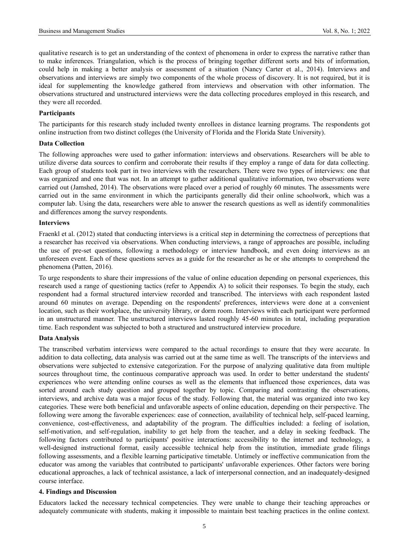qualitative research is to get an understanding of the context of phenomena in order to express the narrative rather than to make inferences. Triangulation, which is the process of bringing together different sorts and bits of information, could help in making a better analysis or assessment of a situation (Nancy Carter et al., 2014). Interviews and observations and interviews are simply two components of the whole process of discovery. It is not required, but it is ideal for supplementing the knowledge gathered from interviews and observation with other information. The observations structured and unstructured interviews were the data collecting procedures employed in this research, and they were all recorded.

#### **Participants**

The participants for this research study included twenty enrollees in distance learning programs. The respondents got online instruction from two distinct colleges (the University of Florida and the Florida State University).

# **Data Collection**

The following approaches were used to gather information: interviews and observations. Researchers will be able to utilize diverse data sources to confirm and corroborate their results if they employ a range of data for data collecting. Each group of students took part in two interviews with the researchers. There were two types of interviews: one that was organized and one that was not. In an attempt to gather additional qualitative information, two observations were carried out (Jamshed, 2014). The observations were placed over a period of roughly 60 minutes. The assessments were carried out in the same environment in which the participants generally did their online schoolwork, which was a computer lab. Using the data, researchers were able to answer the research questions as well as identify commonalities and differences among the survey respondents.

#### **Interviews**

Fraenkl et al. (2012) stated that conducting interviews is a critical step in determining the correctness of perceptions that a researcher has received via observations. When conducting interviews, a range of approaches are possible, including the use of pre-set questions, following a methodology or interview handbook, and even doing interviews as an unforeseen event. Each of these questions serves as a guide for the researcher as he or she attempts to comprehend the phenomena (Patten, 2016).

To urge respondents to share their impressions of the value of online education depending on personal experiences, this research used a range of questioning tactics (refer to Appendix A) to solicit their responses. To begin the study, each respondent had a formal structured interview recorded and transcribed. The interviews with each respondent lasted around 60 minutes on average. Depending on the respondents' preferences, interviews were done at a convenient location, such as their workplace, the university library, or dorm room. Interviews with each participant were performed in an unstructured manner. The unstructured interviews lasted roughly 45-60 minutes in total, including preparation time. Each respondent was subjected to both a structured and unstructured interview procedure.

#### **Data Analysis**

The transcribed verbatim interviews were compared to the actual recordings to ensure that they were accurate. In addition to data collecting, data analysis was carried out at the same time as well. The transcripts of the interviews and observations were subjected to extensive categorization. For the purpose of analyzing qualitative data from multiple sources throughout time, the continuous comparative approach was used. In order to better understand the students' experiences who were attending online courses as well as the elements that influenced those experiences, data was sorted around each study question and grouped together by topic. Comparing and contrasting the observations, interviews, and archive data was a major focus of the study. Following that, the material was organized into two key categories. These were both beneficial and unfavorable aspects of online education, depending on their perspective. The following were among the favorable experiences: ease of connection, availability of technical help, self-paced learning, convenience, cost-effectiveness, and adaptability of the program. The difficulties included: a feeling of isolation, self-motivation, and self-regulation, inability to get help from the teacher, and a delay in seeking feedback. The following factors contributed to participants' positive interactions: accessibility to the internet and technology, a well-designed instructional format, easily accessible technical help from the institution, immediate grade filings following assessments, and a flexible learning participative timetable. Untimely or ineffective communication from the educator was among the variables that contributed to participants' unfavorable experiences. Other factors were boring educational approaches, a lack of technical assistance, a lack of interpersonal connection, and an inadequately-designed course interface.

#### **4. Findings and Discussion**

Educators lacked the necessary technical competencies. They were unable to change their teaching approaches or adequately communicate with students, making it impossible to maintain best teaching practices in the online context.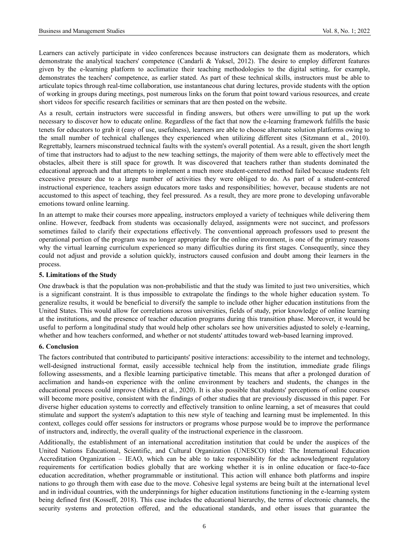Learners can actively participate in video conferences because instructors can designate them as moderators, which demonstrate the analytical teachers' competence (Candarli & Yuksel, 2012). The desire to employ different features given by the e-learning platform to acclimatize their teaching methodologies to the digital setting, for example, demonstrates the teachers' competence, as earlier stated. As part of these technical skills, instructors must be able to articulate topics through real-time collaboration, use instantaneous chat during lectures, provide students with the option of working in groups during meetings, post numerous links on the forum that point toward various resources, and create short videos for specific research facilities or seminars that are then posted on the website.

As a result, certain instructors were successful in finding answers, but others were unwilling to put up the work necessary to discover how to educate online. Regardless of the fact that now the e-learning framework fulfills the basic tenets for educators to grab it (easy of use, usefulness), learners are able to choose alternate solution platforms owing to the small number of technical challenges they experienced when utilizing different sites (Sitzmann et al., 2010). Regrettably, learners misconstrued technical faults with the system's overall potential. As a result, given the short length of time that instructors had to adjust to the new teaching settings, the majority of them were able to effectively meet the obstacles, albeit there is still space for growth. It was discovered that teachers rather than students dominated the educational approach and that attempts to implement a much more student-centered method failed because students felt excessive pressure due to a large number of activities they were obliged to do. As part of a student-centered instructional experience, teachers assign educators more tasks and responsibilities; however, because students are not accustomed to this aspect of teaching, they feel pressured. As a result, they are more prone to developing unfavorable emotions toward online learning.

In an attempt to make their courses more appealing, instructors employed a variety of techniques while delivering them online. However, feedback from students was occasionally delayed, assignments were not succinct, and professors sometimes failed to clarify their expectations effectively. The conventional approach professors used to present the operational portion of the program was no longer appropriate for the online environment, is one of the primary reasons why the virtual learning curriculum experienced so many difficulties during its first stages. Consequently, since they could not adjust and provide a solution quickly, instructors caused confusion and doubt among their learners in the process.

#### **5. Limitations of the Study**

One drawback is that the population was non-probabilistic and that the study was limited to just two universities, which is a significant constraint. It is thus impossible to extrapolate the findings to the whole higher education system. To generalize results, it would be beneficial to diversify the sample to include other higher education institutions from the United States. This would allow for correlations across universities, fields of study, prior knowledge of online learning at the institutions, and the presence of teacher education programs during this transition phase. Moreover, it would be useful to perform a longitudinal study that would help other scholars see how universities adjusted to solely e-learning, whether and how teachers conformed, and whether or not students' attitudes toward web-based learning improved.

### **6. Conclusion**

The factors contributed that contributed to participants' positive interactions: accessibility to the internet and technology, well-designed instructional format, easily accessible technical help from the institution, immediate grade filings following assessments, and a flexible learning participative timetable. This means that after a prolonged duration of acclimation and hands-on experience with the online environment by teachers and students, the changes in the educational process could improve (Mishra et al., 2020). It is also possible that students' perceptions of online courses will become more positive, consistent with the findings of other studies that are previously discussed in this paper. For diverse higher education systems to correctly and effectively transition to online learning, a set of measures that could stimulate and support the system's adaptation to this new style of teaching and learning must be implemented. In this context, colleges could offer sessions for instructors or programs whose purpose would be to improve the performance of instructors and, indirectly, the overall quality of the instructional experience in the classroom.

Additionally, the establishment of an international accreditation institution that could be under the auspices of the United Nations Educational, Scientific, and Cultural Organization (UNESCO) titled: The International Education Accreditation Organization – IEAO, which can be able to take responsibility for the acknowledgment regulatory requirements for certification bodies globally that are working whether it is in online education or face-to-face education accreditation, whether programmable or institutional. This action will enhance both platforms and inspire nations to go through them with ease due to the move. Cohesive legal systems are being built at the international level and in individual countries, with the underpinnings for higher education institutions functioning in the e-learning system being defined first (Kosseff, 2018). This case includes the educational hierarchy, the terms of electronic channels, the security systems and protection offered, and the educational standards, and other issues that guarantee the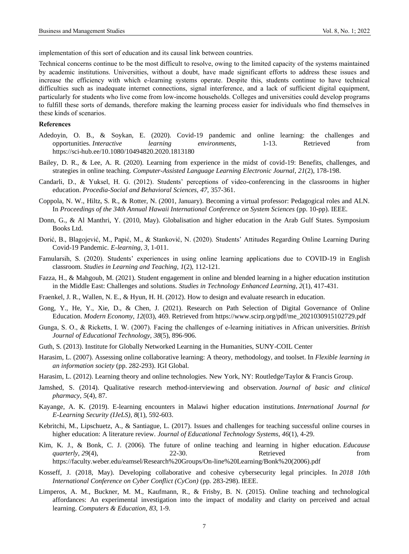implementation of this sort of education and its causal link between countries.

Technical concerns continue to be the most difficult to resolve, owing to the limited capacity of the systems maintained by academic institutions. Universities, without a doubt, have made significant efforts to address these issues and increase the efficiency with which e-learning systems operate. Despite this, students continue to have technical difficulties such as inadequate internet connections, signal interference, and a lack of sufficient digital equipment, particularly for students who live come from low-income households. Colleges and universities could develop programs to fulfill these sorts of demands, therefore making the learning process easier for individuals who find themselves in these kinds of scenarios.

#### **References**

- Adedoyin, O. B., & Soykan, E. (2020). Covid-19 pandemic and online learning: the challenges and opportunities. *Interactive learning environments*, 1-13. Retrieved from <https://sci-hub.ee/10.1080/10494820.2020.1813180>
- Bailey, D. R., & Lee, A. R. (2020). Learning from experience in the midst of covid-19: Benefits, challenges, and strategies in online teaching. *Computer-Assisted Language Learning Electronic Journal*, *21*(2), 178-198.
- Candarli, D., & Yuksel, H. G. (2012). Students' perceptions of video-conferencing in the classrooms in higher education. *Procedia-Social and Behavioral Sciences*, *47*, 357-361.
- Coppola, N. W., Hiltz, S. R., & Rotter, N. (2001, January). Becoming a virtual professor: Pedagogical roles and ALN. In *Proceedings of the 34th Annual Hawaii International Conference on System Sciences* (pp. 10-pp). IEEE.
- Donn, G., & Al Manthri, Y. (2010, May). Globalisation and higher education in the Arab Gulf States. Symposium Books Ltd.
- Đorić, B., Blagojević, M., Papić, M., & Stanković, N. (2020). Students' Attitudes Regarding Online Learning During Covid-19 Pandemic. *E-learning*, *3*, 1-011.
- Famularsih, S. (2020). Students' experiences in using online learning applications due to COVID-19 in English classroom. *Studies in Learning and Teaching*, *1*(2), 112-121.
- Fazza, H., & Mahgoub, M. (2021). Student engagement in online and blended learning in a higher education institution in the Middle East: Challenges and solutions. *Studies in Technology Enhanced Learning*, *2*(1), 417-431.
- Fraenkel, J. R., Wallen, N. E., & Hyun, H. H. (2012). How to design and evaluate research in education.
- Gong, Y., He, Y., Xie, D., & Chen, J. (2021). Research on Path Selection of Digital Governance of Online Education. *Modern Economy*, *12*(03), 469. Retrieved fro[m https://www.scirp.org/pdf/me\\_2021030915102729.pdf](https://www.scirp.org/pdf/me_2021030915102729.pdf)
- Gunga, S. O., & Ricketts, I. W. (2007). Facing the challenges of e‐learning initiatives in African universities. *British Journal of Educational Technology*, *38*(5), 896-906.
- Guth, S. (2013). Institute for Globally Networked Learning in the Humanities, SUNY-COIL Center
- Harasim, L. (2007). Assessing online collaborative learning: A theory, methodology, and toolset. In *Flexible learning in an information society* (pp. 282-293). IGI Global.
- Harasim, L. (2012). Learning theory and online technologies. New York, NY: Routledge/Taylor & Francis Group.
- Jamshed, S. (2014). Qualitative research method-interviewing and observation. *Journal of basic and clinical pharmacy*, *5*(4), 87.
- Kayange, A. K. (2019). E-learning encounters in Malawi higher education institutions. *International Journal for E-Learning Security (IJeLS)*, *8*(1), 592-603.
- Kebritchi, M., Lipschuetz, A., & Santiague, L. (2017). Issues and challenges for teaching successful online courses in higher education: A literature review. *Journal of Educational Technology Systems*, *46*(1), 4-29.
- Kim, K. J., & Bonk, C. J. (2006). The future of online teaching and learning in higher education. *Educause quarterly*, 29(4), 22-30. Retrieved from [https://faculty.weber.edu/eamsel/Research%20Groups/On-line%20Learning/Bonk%20\(2006\).pdf](https://faculty.weber.edu/eamsel/Research%20Groups/On-line%20Learning/Bonk%20(2006).pdf)
- Kosseff, J. (2018, May). Developing collaborative and cohesive cybersecurity legal principles. In *2018 10th International Conference on Cyber Conflict (CyCon)* (pp. 283-298). IEEE.
- Limperos, A. M., Buckner, M. M., Kaufmann, R., & Frisby, B. N. (2015). Online teaching and technological affordances: An experimental investigation into the impact of modality and clarity on perceived and actual learning. *Computers & Education*, *83*, 1-9.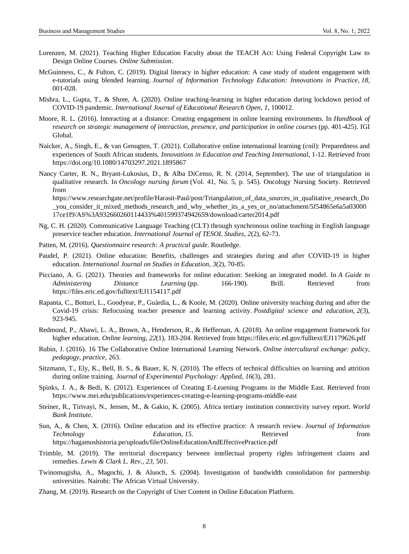- Lorenzen, M. (2021). Teaching Higher Education Faculty about the TEACH Act: Using Federal Copyright Law to Design Online Courses. *Online Submission*.
- McGuinness, C., & Fulton, C. (2019). Digital literacy in higher education: A case study of student engagement with e-tutorials using blended learning. *Journal of Information Technology Education: Innovations in Practice*, *18*, 001-028.
- Mishra, L., Gupta, T., & Shree, A. (2020). Online teaching-learning in higher education during lockdown period of COVID-19 pandemic. *International Journal of Educational Research Open*, *1*, 100012.
- Moore, R. L. (2016). Interacting at a distance: Creating engagement in online learning environments. In *Handbook of research on strategic management of interaction, presence, and participation in online courses* (pp. 401-425). IGI Global.
- Naicker, A., Singh, E., & van Genugten, T. (2021). Collaborative online international learning (coil): Preparedness and experiences of South African students. *Innovations in Education and Teaching International*, 1-12. Retrieved from <https://doi.org/10.1080/14703297.2021.1895867>
- Nancy Carter, R. N., Bryant-Lukosius, D., & Alba DiCenso, R. N. (2014, September). The use of triangulation in qualitative research. In *Oncology nursing forum* (Vol. 41, No. 5, p. 545). Oncology Nursing Society. Retrieved from [https://www.researchgate.net/profile/Harasit-Paul/post/Triangulation\\_of\\_data\\_sources\\_in\\_qualitative\\_research\\_Do](https://www.researchgate.net/profile/Harasit-Paul/post/Triangulation_of_data_sources_in_qualitative_research_Do_you_consider_it_mixed_methods_research_and_why_whether_its_a_yes_or_no/attachment/5f54865e6a5a0300017ce1f9/AS%3A932660260114433%401599374942659/download/carter2014.pdf)

you consider it mixed methods research and why whether its a yes or no/attachment/5f54865e6a5a03000 [17ce1f9/AS%3A932660260114433%401599374942659/download/carter2014.pdf](https://www.researchgate.net/profile/Harasit-Paul/post/Triangulation_of_data_sources_in_qualitative_research_Do_you_consider_it_mixed_methods_research_and_why_whether_its_a_yes_or_no/attachment/5f54865e6a5a0300017ce1f9/AS%3A932660260114433%401599374942659/download/carter2014.pdf)

- Ng, C. H. (2020). Communicative Language Teaching (CLT) through synchronous online teaching in English language preservice teacher education. *International Journal of TESOL Studies*, *2*(2), 62-73.
- Patten, M. (2016). *Questionnaire research: A practical guide*. Routledge.
- Paudel, P. (2021). Online education: Benefits, challenges and strategies during and after COVID-19 in higher education. *International Journal on Studies in Education*, *3*(2), 70-85.
- Picciano, A. G. (2021). Theories and frameworks for online education: Seeking an integrated model. In *A Guide to Administering Distance Learning* (pp. 166-190). Brill. Retrieved from <https://files.eric.ed.gov/fulltext/EJ1154117.pdf>
- Rapanta, C., Botturi, L., Goodyear, P., Guàrdia, L., & Koole, M. (2020). Online university teaching during and after the Covid-19 crisis: Refocusing teacher presence and learning activity. *Postdigital science and education*, *2*(3), 923-945.
- Redmond, P., Abawi, L. A., Brown, A., Henderson, R., & Heffernan, A. (2018). An online engagement framework for higher education. *Online learning*, *22*(1), 183-204. Retrieved fro[m https://files.eric.ed.gov/fulltext/EJ1179626.pdf](https://files.eric.ed.gov/fulltext/EJ1179626.pdf)
- Rubin, J. (2016). 16 The Collaborative Online International Learning Network. *Online intercultural exchange: policy, pedagogy, practice*, 263.
- Sitzmann, T., Ely, K., Bell, B. S., & Bauer, K. N. (2010). The effects of technical difficulties on learning and attrition during online training. *Journal of Experimental Psychology: Applied*, *16*(3), 281.
- Spinks, J. A., & Bedi, K. (2012). Experiences of Creating E-Learning Programs in the Middle East. Retrieved from <https://www.mei.edu/publications/experiences-creating-e-learning-programs-middle-east>
- Steiner, R., Tirivayi, N., Jensen, M., & Gakio, K. (2005). Africa tertiary institution connectivity survey report. *World Bank Institute.*
- Sun, A., & Chen, X. (2016). Online education and its effective practice: A research review. *Journal of Information Technology Education*, *15*. Retrieved from <https://hagamoshistoria.pe/uploads/file/OnlineEducationAndEffectivePractice.pdf>
- Trimble, M. (2019). The territorial discrepancy between intellectual property rights infringement claims and remedies. *Lewis & Clark L. Rev.*, *23*, 501.
- Twinomugisha, A., Magochi, J. & Aluoch, S. (2004). Investigation of bandwidth consolidation for partnership universities. Nairobi: The African Virtual University.
- Zhang, M. (2019). Research on the Copyright of User Content in Online Education Platform.